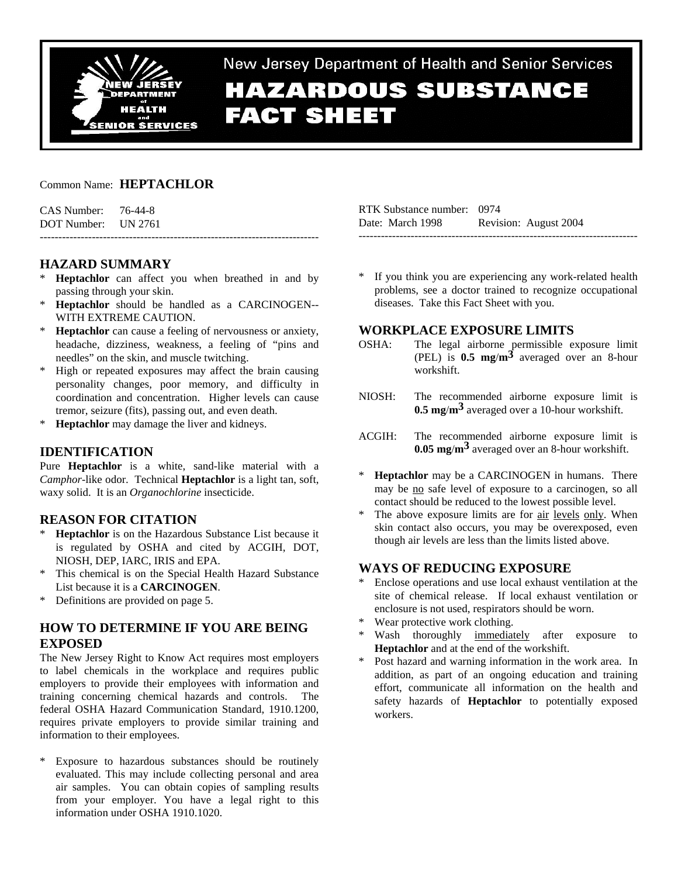

New Jersey Department of Health and Senior Services **HAZARDOUS SUBSTANCE FACT SHEET** 

## Common Name: **HEPTACHLOR**

| CAS Number: | 76-44-8 |
|-------------|---------|
| DOT Number: | UN 2761 |

# **HAZARD SUMMARY**

**Heptachlor** can affect you when breathed in and by passing through your skin.

---------------------------------------------------------------------------

- \* **Heptachlor** should be handled as a CARCINOGEN-- WITH EXTREME CAUTION.
- \* **Heptachlor** can cause a feeling of nervousness or anxiety, headache, dizziness, weakness, a feeling of "pins and needles" on the skin, and muscle twitching.
- \* High or repeated exposures may affect the brain causing personality changes, poor memory, and difficulty in coordination and concentration. Higher levels can cause tremor, seizure (fits), passing out, and even death.
- \* **Heptachlor** may damage the liver and kidneys.

## **IDENTIFICATION**

Pure **Heptachlor** is a white, sand-like material with a *Camphor*-like odor. Technical **Heptachlor** is a light tan, soft, waxy solid. It is an *Organochlorine* insecticide.

## **REASON FOR CITATION**

- **Heptachlor** is on the Hazardous Substance List because it is regulated by OSHA and cited by ACGIH, DOT, NIOSH, DEP, IARC, IRIS and EPA.
- This chemical is on the Special Health Hazard Substance List because it is a **CARCINOGEN**.
- \* Definitions are provided on page 5.

# **HOW TO DETERMINE IF YOU ARE BEING EXPOSED**

The New Jersey Right to Know Act requires most employers to label chemicals in the workplace and requires public employers to provide their employees with information and training concerning chemical hazards and controls. The federal OSHA Hazard Communication Standard, 1910.1200, requires private employers to provide similar training and information to their employees.

Exposure to hazardous substances should be routinely evaluated. This may include collecting personal and area air samples. You can obtain copies of sampling results from your employer. You have a legal right to this information under OSHA 1910.1020.

| RTK Substance number: 0974 |                       |
|----------------------------|-----------------------|
| Date: March 1998           | Revision: August 2004 |
|                            |                       |

If you think you are experiencing any work-related health problems, see a doctor trained to recognize occupational diseases. Take this Fact Sheet with you.

## **WORKPLACE EXPOSURE LIMITS**

- OSHA: The legal airborne permissible exposure limit (PEL) is **0.5 mg**/**m3** averaged over an 8-hour workshift.
- NIOSH: The recommended airborne exposure limit is **0.5 mg**/**m3** averaged over a 10-hour workshift.
- ACGIH: The recommended airborne exposure limit is **0.05 mg**/**m3** averaged over an 8-hour workshift.
- **Heptachlor** may be a CARCINOGEN in humans. There may be no safe level of exposure to a carcinogen, so all contact should be reduced to the lowest possible level.
- The above exposure limits are for air levels only. When skin contact also occurs, you may be overexposed, even though air levels are less than the limits listed above.

## **WAYS OF REDUCING EXPOSURE**

- Enclose operations and use local exhaust ventilation at the site of chemical release. If local exhaust ventilation or enclosure is not used, respirators should be worn.
- \* Wear protective work clothing.
- Wash thoroughly immediately after exposure to **Heptachlor** and at the end of the workshift.
- \* Post hazard and warning information in the work area. In addition, as part of an ongoing education and training effort, communicate all information on the health and safety hazards of **Heptachlor** to potentially exposed workers.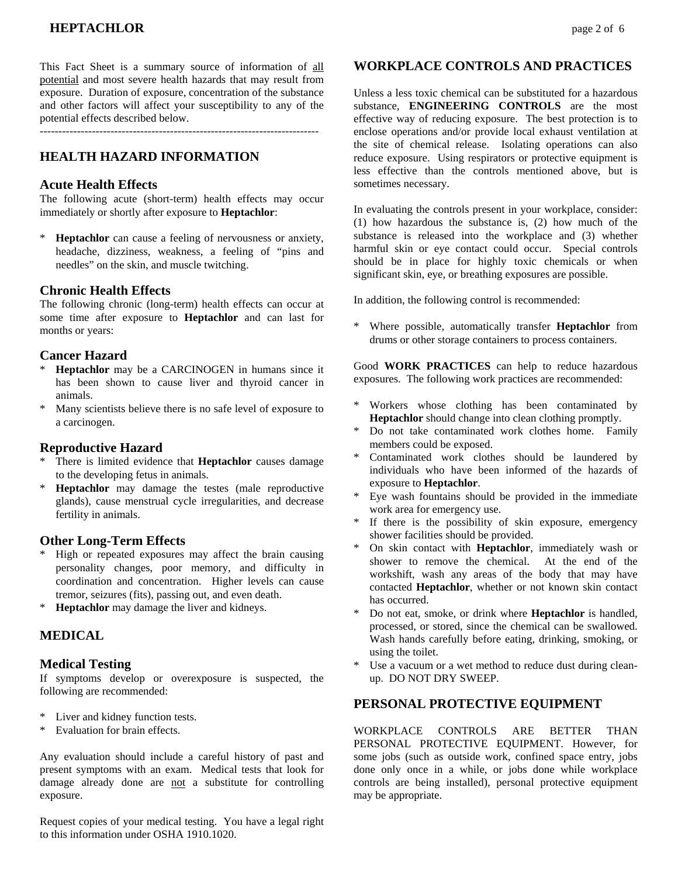This Fact Sheet is a summary source of information of all potential and most severe health hazards that may result from exposure. Duration of exposure, concentration of the substance and other factors will affect your susceptibility to any of the potential effects described below.

# **HEALTH HAZARD INFORMATION**

### **Acute Health Effects**

The following acute (short-term) health effects may occur immediately or shortly after exposure to **Heptachlor**:

**Heptachlor** can cause a feeling of nervousness or anxiety, headache, dizziness, weakness, a feeling of "pins and needles" on the skin, and muscle twitching.

#### **Chronic Health Effects**

The following chronic (long-term) health effects can occur at some time after exposure to **Heptachlor** and can last for months or years:

### **Cancer Hazard**

- **Heptachlor** may be a CARCINOGEN in humans since it has been shown to cause liver and thyroid cancer in animals.
- Many scientists believe there is no safe level of exposure to a carcinogen.

### **Reproductive Hazard**

- There is limited evidence that **Heptachlor** causes damage to the developing fetus in animals.
- **Heptachlor** may damage the testes (male reproductive glands), cause menstrual cycle irregularities, and decrease fertility in animals.

### **Other Long-Term Effects**

- \* High or repeated exposures may affect the brain causing personality changes, poor memory, and difficulty in coordination and concentration. Higher levels can cause tremor, seizures (fits), passing out, and even death.
- \* **Heptachlor** may damage the liver and kidneys.

# **MEDICAL**

### **Medical Testing**

If symptoms develop or overexposure is suspected, the following are recommended:

- \* Liver and kidney function tests.
- \* Evaluation for brain effects.

Any evaluation should include a careful history of past and present symptoms with an exam. Medical tests that look for damage already done are not a substitute for controlling exposure.

Request copies of your medical testing. You have a legal right to this information under OSHA 1910.1020.

### **WORKPLACE CONTROLS AND PRACTICES**

Unless a less toxic chemical can be substituted for a hazardous substance, **ENGINEERING CONTROLS** are the most effective way of reducing exposure. The best protection is to enclose operations and/or provide local exhaust ventilation at the site of chemical release. Isolating operations can also reduce exposure. Using respirators or protective equipment is less effective than the controls mentioned above, but is sometimes necessary.

In evaluating the controls present in your workplace, consider: (1) how hazardous the substance is, (2) how much of the substance is released into the workplace and (3) whether harmful skin or eye contact could occur. Special controls should be in place for highly toxic chemicals or when significant skin, eye, or breathing exposures are possible.

In addition, the following control is recommended:

Where possible, automatically transfer **Heptachlor** from drums or other storage containers to process containers.

Good **WORK PRACTICES** can help to reduce hazardous exposures. The following work practices are recommended:

- \* Workers whose clothing has been contaminated by **Heptachlor** should change into clean clothing promptly.
- \* Do not take contaminated work clothes home. Family members could be exposed.
- Contaminated work clothes should be laundered by individuals who have been informed of the hazards of exposure to **Heptachlor**.
- \* Eye wash fountains should be provided in the immediate work area for emergency use.
- \* If there is the possibility of skin exposure, emergency shower facilities should be provided.
- On skin contact with **Heptachlor**, immediately wash or shower to remove the chemical. At the end of the workshift, wash any areas of the body that may have contacted **Heptachlor**, whether or not known skin contact has occurred.
- \* Do not eat, smoke, or drink where **Heptachlor** is handled, processed, or stored, since the chemical can be swallowed. Wash hands carefully before eating, drinking, smoking, or using the toilet.
- Use a vacuum or a wet method to reduce dust during cleanup. DO NOT DRY SWEEP.

### **PERSONAL PROTECTIVE EQUIPMENT**

WORKPLACE CONTROLS ARE BETTER THAN PERSONAL PROTECTIVE EQUIPMENT. However, for some jobs (such as outside work, confined space entry, jobs done only once in a while, or jobs done while workplace controls are being installed), personal protective equipment may be appropriate.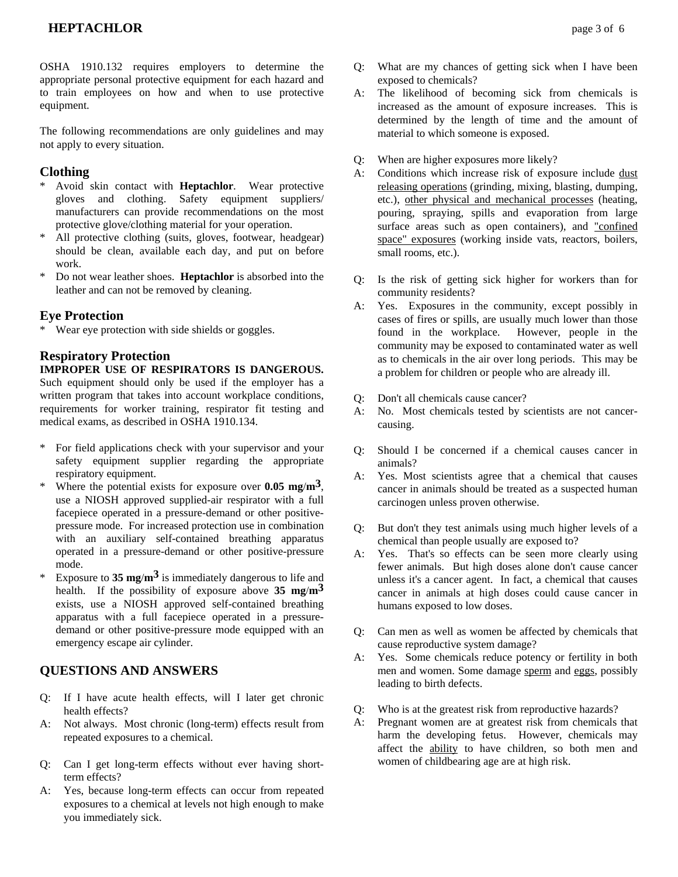# **HEPTACHLOR** page 3 of 6

OSHA 1910.132 requires employers to determine the appropriate personal protective equipment for each hazard and to train employees on how and when to use protective equipment.

The following recommendations are only guidelines and may not apply to every situation.

## **Clothing**

- Avoid skin contact with **Heptachlor**. Wear protective gloves and clothing. Safety equipment suppliers/ manufacturers can provide recommendations on the most protective glove/clothing material for your operation.
- \* All protective clothing (suits, gloves, footwear, headgear) should be clean, available each day, and put on before work.
- Do not wear leather shoes. **Heptachlor** is absorbed into the leather and can not be removed by cleaning.

## **Eye Protection**

\* Wear eye protection with side shields or goggles.

### **Respiratory Protection**

**IMPROPER USE OF RESPIRATORS IS DANGEROUS.** Such equipment should only be used if the employer has a written program that takes into account workplace conditions, requirements for worker training, respirator fit testing and medical exams, as described in OSHA 1910.134.

- \* For field applications check with your supervisor and your safety equipment supplier regarding the appropriate respiratory equipment.
- \* Where the potential exists for exposure over **0.05 mg**/**m3**, use a NIOSH approved supplied-air respirator with a full facepiece operated in a pressure-demand or other positivepressure mode. For increased protection use in combination with an auxiliary self-contained breathing apparatus operated in a pressure-demand or other positive-pressure mode.
- Exposure to 35 **mg/m<sup>3</sup>** is immediately dangerous to life and health. If the possibility of exposure above **35 mg**/**m3** exists, use a NIOSH approved self-contained breathing apparatus with a full facepiece operated in a pressuredemand or other positive-pressure mode equipped with an emergency escape air cylinder.

# **QUESTIONS AND ANSWERS**

- Q: If I have acute health effects, will I later get chronic health effects?
- A: Not always. Most chronic (long-term) effects result from repeated exposures to a chemical.
- Q: Can I get long-term effects without ever having shortterm effects?
- A: Yes, because long-term effects can occur from repeated exposures to a chemical at levels not high enough to make you immediately sick.
- Q: What are my chances of getting sick when I have been exposed to chemicals?
- A: The likelihood of becoming sick from chemicals is increased as the amount of exposure increases. This is determined by the length of time and the amount of material to which someone is exposed.
- Q: When are higher exposures more likely?
- A: Conditions which increase risk of exposure include dust releasing operations (grinding, mixing, blasting, dumping, etc.), other physical and mechanical processes (heating, pouring, spraying, spills and evaporation from large surface areas such as open containers), and "confined space" exposures (working inside vats, reactors, boilers, small rooms, etc.).
- Q: Is the risk of getting sick higher for workers than for community residents?
- A: Yes. Exposures in the community, except possibly in cases of fires or spills, are usually much lower than those found in the workplace. However, people in the community may be exposed to contaminated water as well as to chemicals in the air over long periods. This may be a problem for children or people who are already ill.
- Q: Don't all chemicals cause cancer?
- A: No. Most chemicals tested by scientists are not cancercausing.
- Q: Should I be concerned if a chemical causes cancer in animals?
- A: Yes. Most scientists agree that a chemical that causes cancer in animals should be treated as a suspected human carcinogen unless proven otherwise.
- Q: But don't they test animals using much higher levels of a chemical than people usually are exposed to?
- A: Yes. That's so effects can be seen more clearly using fewer animals. But high doses alone don't cause cancer unless it's a cancer agent. In fact, a chemical that causes cancer in animals at high doses could cause cancer in humans exposed to low doses.
- Q: Can men as well as women be affected by chemicals that cause reproductive system damage?
- A: Yes. Some chemicals reduce potency or fertility in both men and women. Some damage sperm and eggs, possibly leading to birth defects.
- Q: Who is at the greatest risk from reproductive hazards?
- A: Pregnant women are at greatest risk from chemicals that harm the developing fetus. However, chemicals may affect the ability to have children, so both men and women of childbearing age are at high risk.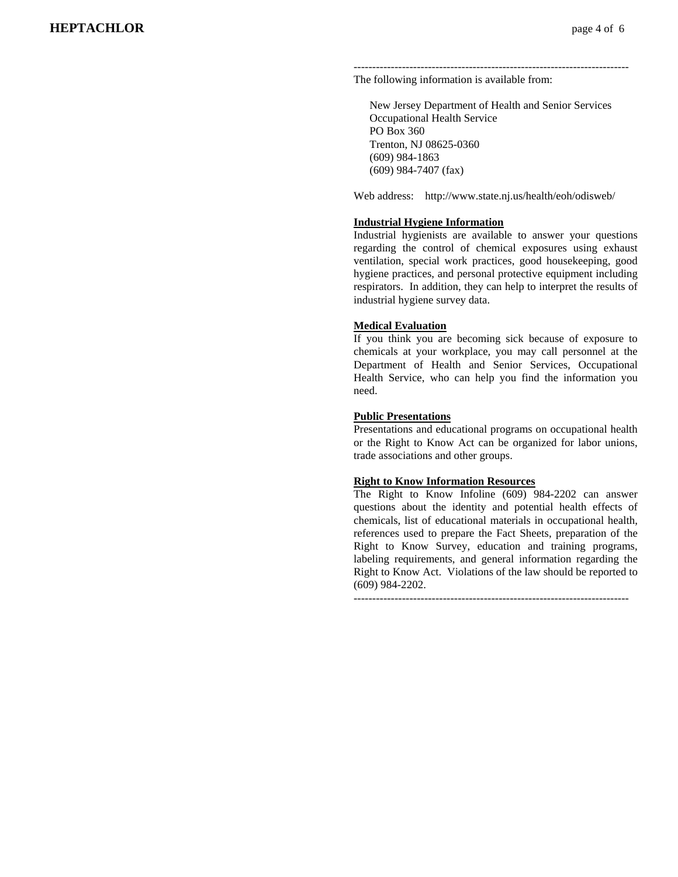-------------------------------------------------------------------------- The following information is available from:

 New Jersey Department of Health and Senior Services Occupational Health Service PO Box 360 Trenton, NJ 08625-0360 (609) 984-1863 (609) 984-7407 (fax)

Web address: http://www.state.nj.us/health/eoh/odisweb/

#### **Industrial Hygiene Information**

Industrial hygienists are available to answer your questions regarding the control of chemical exposures using exhaust ventilation, special work practices, good housekeeping, good hygiene practices, and personal protective equipment including respirators. In addition, they can help to interpret the results of industrial hygiene survey data.

#### **Medical Evaluation**

If you think you are becoming sick because of exposure to chemicals at your workplace, you may call personnel at the Department of Health and Senior Services, Occupational Health Service, who can help you find the information you need.

#### **Public Presentations**

Presentations and educational programs on occupational health or the Right to Know Act can be organized for labor unions, trade associations and other groups.

#### **Right to Know Information Resources**

The Right to Know Infoline (609) 984-2202 can answer questions about the identity and potential health effects of chemicals, list of educational materials in occupational health, references used to prepare the Fact Sheets, preparation of the Right to Know Survey, education and training programs, labeling requirements, and general information regarding the Right to Know Act. Violations of the law should be reported to (609) 984-2202.

 $-$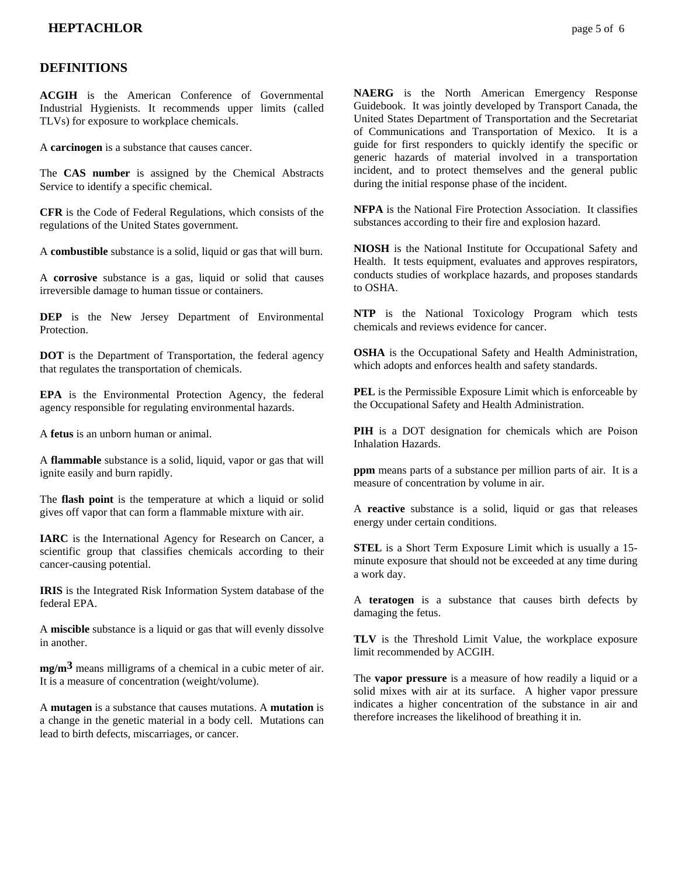## **DEFINITIONS**

**ACGIH** is the American Conference of Governmental Industrial Hygienists. It recommends upper limits (called TLVs) for exposure to workplace chemicals.

A **carcinogen** is a substance that causes cancer.

The **CAS number** is assigned by the Chemical Abstracts Service to identify a specific chemical.

**CFR** is the Code of Federal Regulations, which consists of the regulations of the United States government.

A **combustible** substance is a solid, liquid or gas that will burn.

A **corrosive** substance is a gas, liquid or solid that causes irreversible damage to human tissue or containers.

**DEP** is the New Jersey Department of Environmental Protection.

**DOT** is the Department of Transportation, the federal agency that regulates the transportation of chemicals.

**EPA** is the Environmental Protection Agency, the federal agency responsible for regulating environmental hazards.

A **fetus** is an unborn human or animal.

A **flammable** substance is a solid, liquid, vapor or gas that will ignite easily and burn rapidly.

The **flash point** is the temperature at which a liquid or solid gives off vapor that can form a flammable mixture with air.

**IARC** is the International Agency for Research on Cancer, a scientific group that classifies chemicals according to their cancer-causing potential.

**IRIS** is the Integrated Risk Information System database of the federal EPA.

A **miscible** substance is a liquid or gas that will evenly dissolve in another.

**mg/m3** means milligrams of a chemical in a cubic meter of air. It is a measure of concentration (weight/volume).

A **mutagen** is a substance that causes mutations. A **mutation** is a change in the genetic material in a body cell. Mutations can lead to birth defects, miscarriages, or cancer.

**NAERG** is the North American Emergency Response Guidebook. It was jointly developed by Transport Canada, the United States Department of Transportation and the Secretariat of Communications and Transportation of Mexico. It is a guide for first responders to quickly identify the specific or generic hazards of material involved in a transportation incident, and to protect themselves and the general public during the initial response phase of the incident.

**NFPA** is the National Fire Protection Association. It classifies substances according to their fire and explosion hazard.

**NIOSH** is the National Institute for Occupational Safety and Health. It tests equipment, evaluates and approves respirators, conducts studies of workplace hazards, and proposes standards to OSHA.

**NTP** is the National Toxicology Program which tests chemicals and reviews evidence for cancer.

**OSHA** is the Occupational Safety and Health Administration, which adopts and enforces health and safety standards.

**PEL** is the Permissible Exposure Limit which is enforceable by the Occupational Safety and Health Administration.

**PIH** is a DOT designation for chemicals which are Poison Inhalation Hazards.

**ppm** means parts of a substance per million parts of air. It is a measure of concentration by volume in air.

A **reactive** substance is a solid, liquid or gas that releases energy under certain conditions.

**STEL** is a Short Term Exposure Limit which is usually a 15 minute exposure that should not be exceeded at any time during a work day.

A **teratogen** is a substance that causes birth defects by damaging the fetus.

**TLV** is the Threshold Limit Value, the workplace exposure limit recommended by ACGIH.

The **vapor pressure** is a measure of how readily a liquid or a solid mixes with air at its surface. A higher vapor pressure indicates a higher concentration of the substance in air and therefore increases the likelihood of breathing it in.